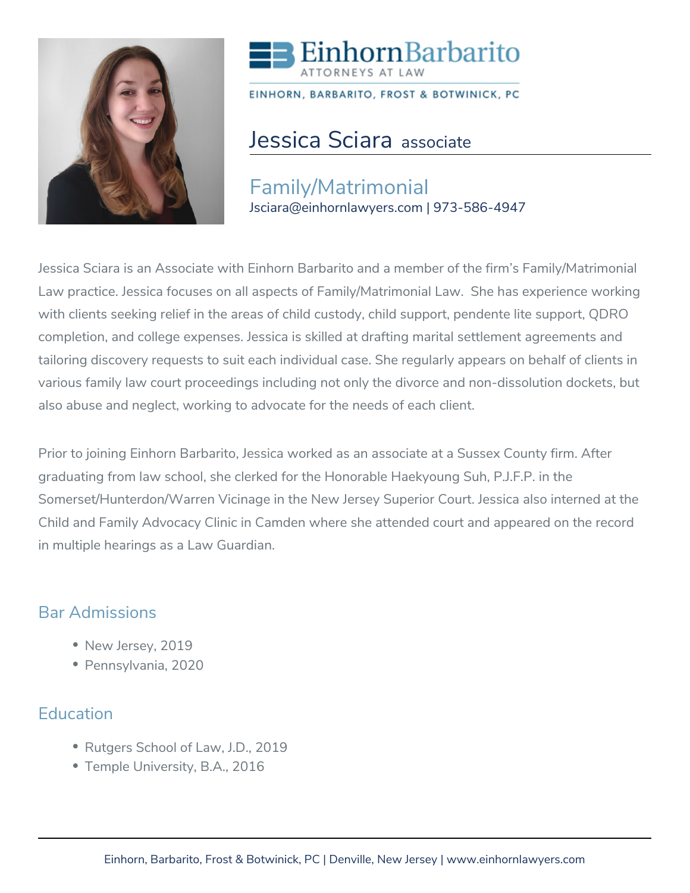



EINHORN, BARBARITO, FROST & BOTWINICK, PC

# Jessica Sciara associate

Family/Matrimonial Jsciara@einhornlawyers.com | 973-586-4947

Jessica Sciara is an Associate with Einhorn Barbarito and a member of the firm's Family/Matrimonial Law practice. Jessica focuses on all aspects of Family/Matrimonial Law. She has experience working with clients seeking relief in the areas of child custody, child support, pendente lite support, QDRO completion, and college expenses. Jessica is skilled at drafting marital settlement agreements and tailoring discovery requests to suit each individual case. She regularly appears on behalf of clients in various family law court proceedings including not only the divorce and non-dissolution dockets, but also abuse and neglect, working to advocate for the needs of each client.

Prior to joining Einhorn Barbarito, Jessica worked as an associate at a Sussex County firm. After graduating from law school, she clerked for the Honorable Haekyoung Suh, P.J.F.P. in the Somerset/Hunterdon/Warren Vicinage in the New Jersey Superior Court. Jessica also interned at the Child and Family Advocacy Clinic in Camden where she attended court and appeared on the record in multiple hearings as a Law Guardian.

## Bar Admissions

- New Jersey, 2019
- Pennsylvania, 2020

## **Education**

- Rutgers School of Law, J.D., 2019
- Temple University, B.A., 2016